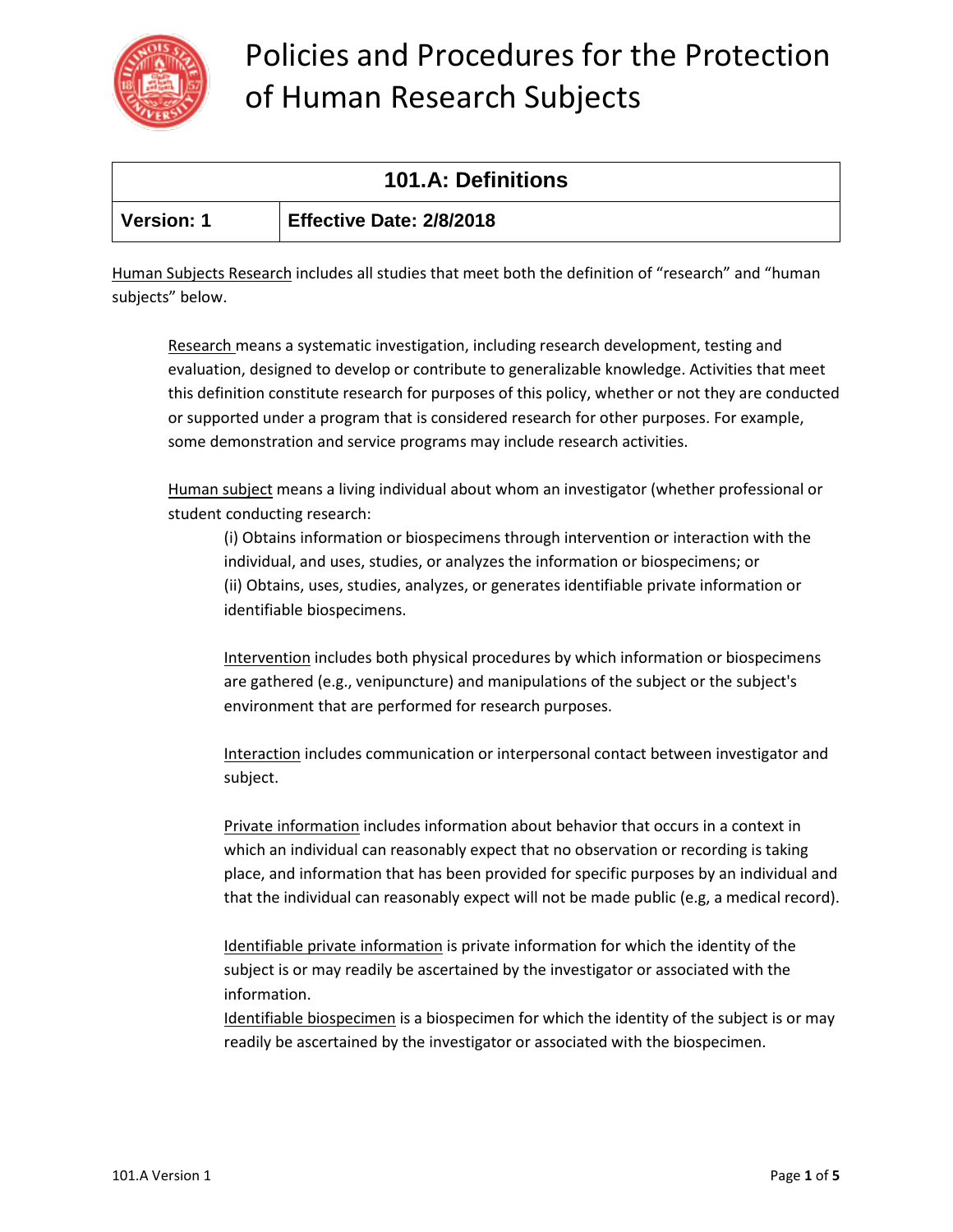

| <b>101.A: Definitions</b> |                          |
|---------------------------|--------------------------|
| Version: 1                | Effective Date: 2/8/2018 |

Human Subjects Research includes all studies that meet both the definition of "research" and "human subjects" below.

Research means a systematic investigation, including research development, testing and evaluation, designed to develop or contribute to generalizable knowledge. Activities that meet this definition constitute research for purposes of this policy, whether or not they are conducted or supported under a program that is considered research for other purposes. For example, some demonstration and service programs may include research activities.

Human subject means a living individual about whom an investigator (whether professional or student conducting research:

(i) Obtains information or biospecimens through intervention or interaction with the individual, and uses, studies, or analyzes the information or biospecimens; or (ii) Obtains, uses, studies, analyzes, or generates identifiable private information or identifiable biospecimens.

Intervention includes both physical procedures by which information or biospecimens are gathered (e.g., venipuncture) and manipulations of the subject or the subject's environment that are performed for research purposes.

Interaction includes communication or interpersonal contact between investigator and subject.

Private information includes information about behavior that occurs in a context in which an individual can reasonably expect that no observation or recording is taking place, and information that has been provided for specific purposes by an individual and that the individual can reasonably expect will not be made public (e.g, a medical record).

Identifiable private information is private information for which the identity of the subject is or may readily be ascertained by the investigator or associated with the information.

Identifiable biospecimen is a biospecimen for which the identity of the subject is or may readily be ascertained by the investigator or associated with the biospecimen.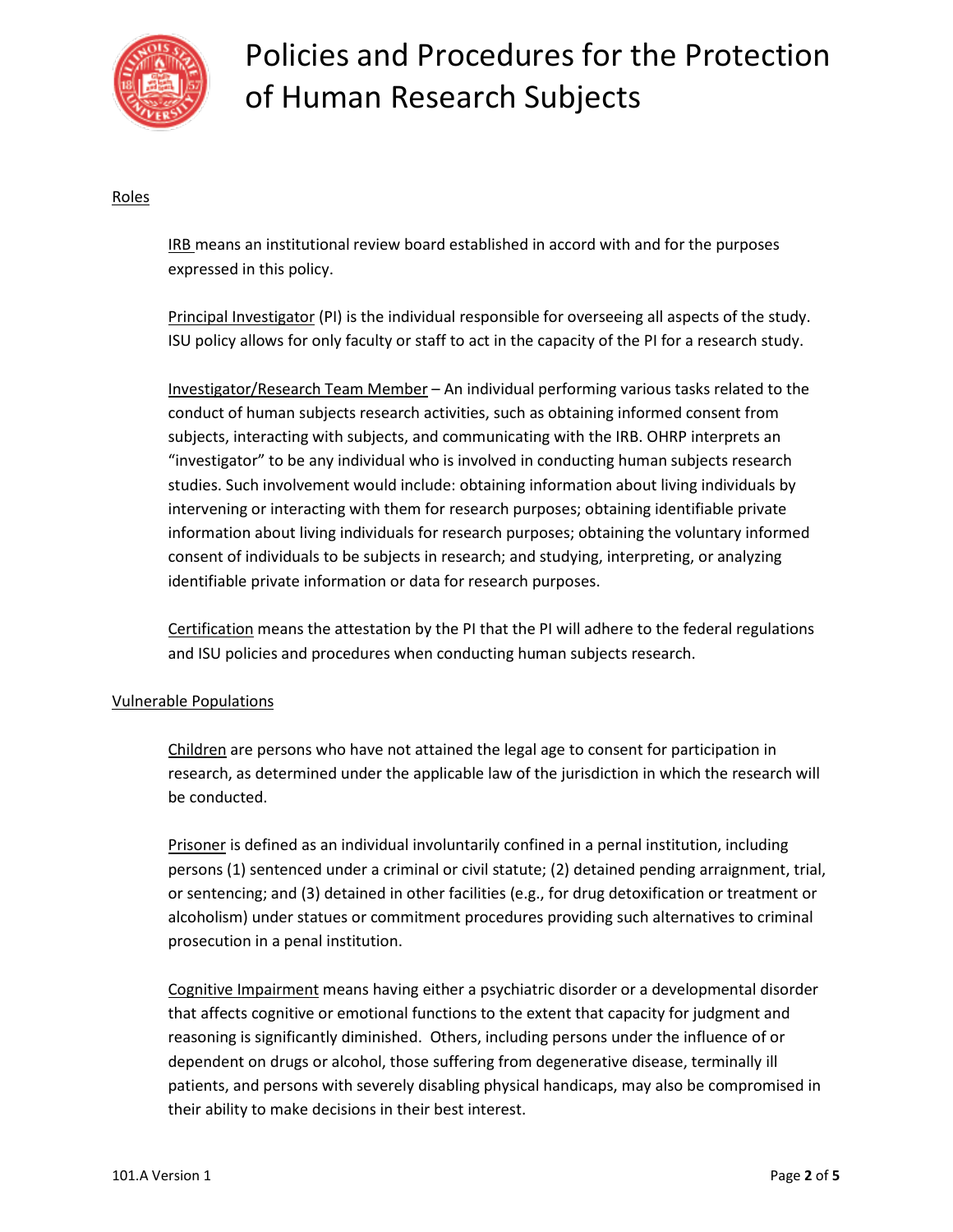

### Roles

IRB means an institutional review board established in accord with and for the purposes expressed in this policy.

Principal Investigator (PI) is the individual responsible for overseeing all aspects of the study. ISU policy allows for only faculty or staff to act in the capacity of the PI for a research study.

Investigator/Research Team Member – An individual performing various tasks related to the conduct of human subjects research activities, such as obtaining informed consent from subjects, interacting with subjects, and communicating with the IRB. OHRP interprets an "investigator" to be any individual who is involved in conducting human subjects research studies. Such involvement would include: obtaining information about living individuals by intervening or interacting with them for research purposes; obtaining identifiable private information about living individuals for research purposes; obtaining the voluntary informed consent of individuals to be subjects in research; and studying, interpreting, or analyzing identifiable private information or data for research purposes.

Certification means the attestation by the PI that the PI will adhere to the federal regulations and ISU policies and procedures when conducting human subjects research.

#### Vulnerable Populations

Children are persons who have not attained the legal age to consent for participation in research, as determined under the applicable law of the jurisdiction in which the research will be conducted.

Prisoner is defined as an individual involuntarily confined in a pernal institution, including persons (1) sentenced under a criminal or civil statute; (2) detained pending arraignment, trial, or sentencing; and (3) detained in other facilities (e.g., for drug detoxification or treatment or alcoholism) under statues or commitment procedures providing such alternatives to criminal prosecution in a penal institution.

Cognitive Impairment means having either a psychiatric disorder or a developmental disorder that affects cognitive or emotional functions to the extent that capacity for judgment and reasoning is significantly diminished. Others, including persons under the influence of or dependent on drugs or alcohol, those suffering from degenerative disease, terminally ill patients, and persons with severely disabling physical handicaps, may also be compromised in their ability to make decisions in their best interest.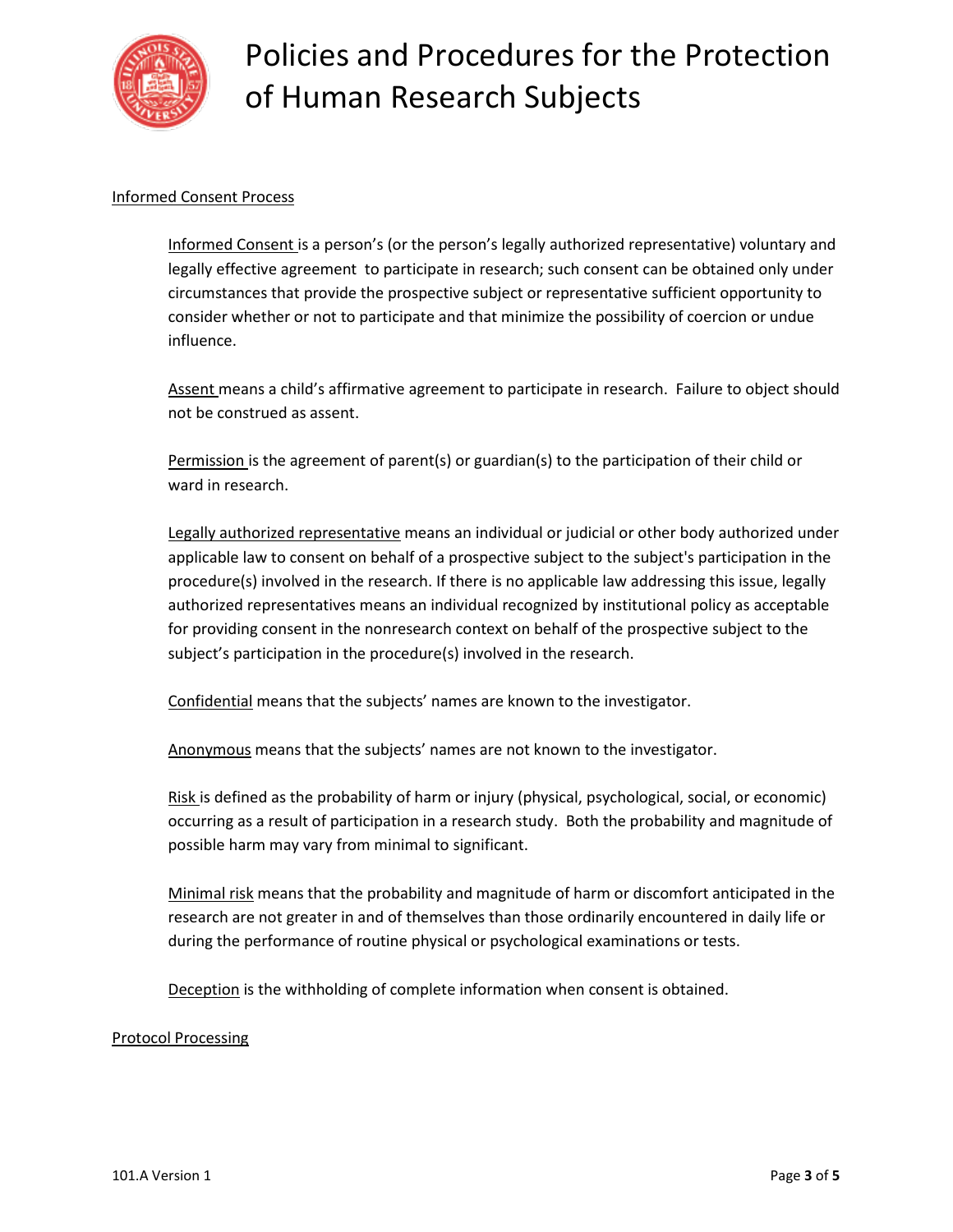

### Informed Consent Process

Informed Consent is a person's (or the person's legally authorized representative) voluntary and legally effective agreement to participate in research; such consent can be obtained only under circumstances that provide the prospective subject or representative sufficient opportunity to consider whether or not to participate and that minimize the possibility of coercion or undue influence.

Assent means a child's affirmative agreement to participate in research. Failure to object should not be construed as assent.

Permission is the agreement of parent(s) or guardian(s) to the participation of their child or ward in research.

Legally authorized representative means an individual or judicial or other body authorized under applicable law to consent on behalf of a prospective subject to the subject's participation in the procedure(s) involved in the research. If there is no applicable law addressing this issue, legally authorized representatives means an individual recognized by institutional policy as acceptable for providing consent in the nonresearch context on behalf of the prospective subject to the subject's participation in the procedure(s) involved in the research.

Confidential means that the subjects' names are known to the investigator.

Anonymous means that the subjects' names are not known to the investigator.

Risk is defined as the probability of harm or injury (physical, psychological, social, or economic) occurring as a result of participation in a research study. Both the probability and magnitude of possible harm may vary from minimal to significant.

Minimal risk means that the probability and magnitude of harm or discomfort anticipated in the research are not greater in and of themselves than those ordinarily encountered in daily life or during the performance of routine physical or psychological examinations or tests.

Deception is the withholding of complete information when consent is obtained.

#### Protocol Processing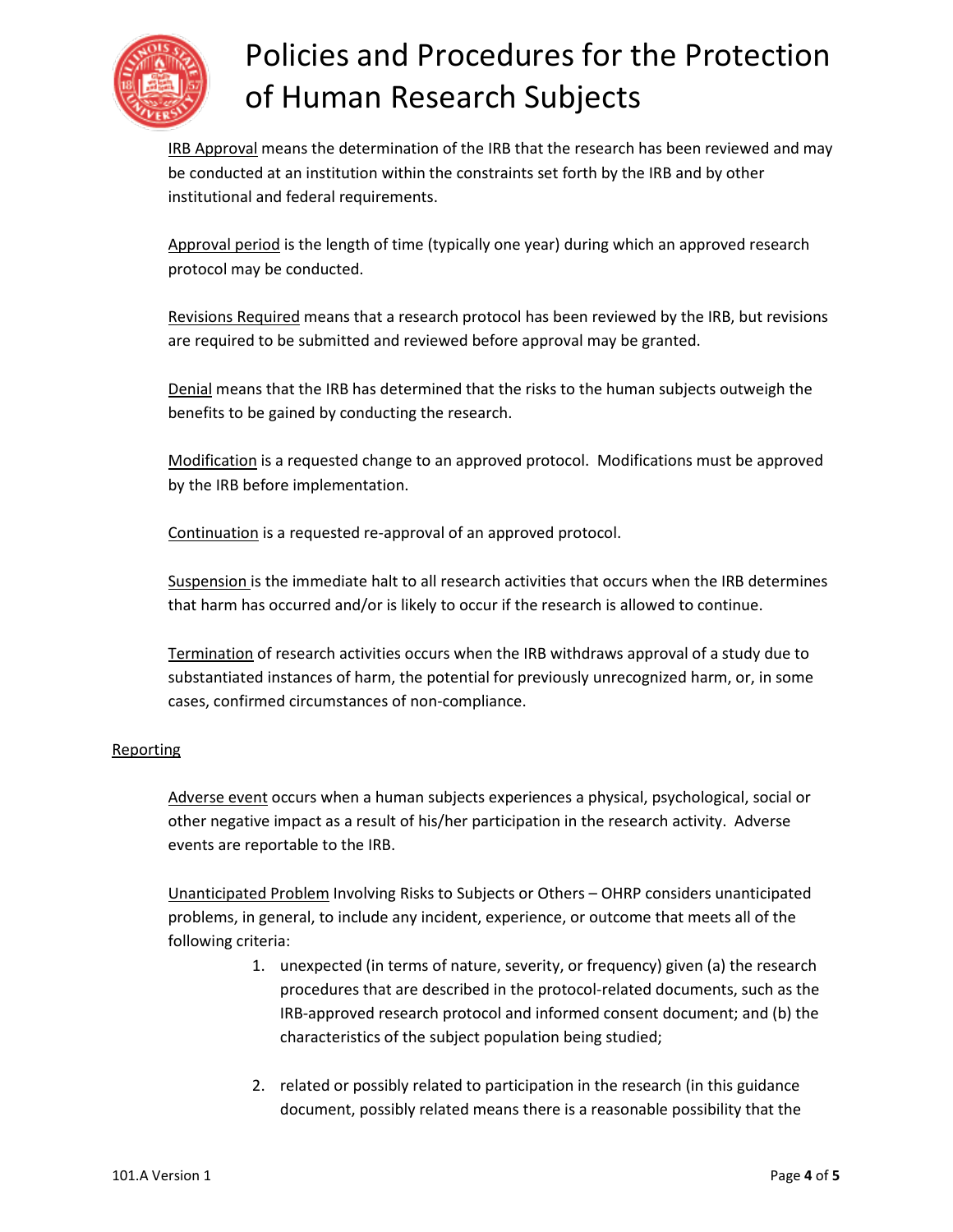

IRB Approval means the determination of the IRB that the research has been reviewed and may be conducted at an institution within the constraints set forth by the IRB and by other institutional and federal requirements.

Approval period is the length of time (typically one year) during which an approved research protocol may be conducted.

Revisions Required means that a research protocol has been reviewed by the IRB, but revisions are required to be submitted and reviewed before approval may be granted.

Denial means that the IRB has determined that the risks to the human subjects outweigh the benefits to be gained by conducting the research.

Modification is a requested change to an approved protocol. Modifications must be approved by the IRB before implementation.

Continuation is a requested re-approval of an approved protocol.

Suspension is the immediate halt to all research activities that occurs when the IRB determines that harm has occurred and/or is likely to occur if the research is allowed to continue.

Termination of research activities occurs when the IRB withdraws approval of a study due to substantiated instances of harm, the potential for previously unrecognized harm, or, in some cases, confirmed circumstances of non-compliance.

### **Reporting**

Adverse event occurs when a human subjects experiences a physical, psychological, social or other negative impact as a result of his/her participation in the research activity. Adverse events are reportable to the IRB.

Unanticipated Problem Involving Risks to Subjects or Others – OHRP considers unanticipated problems, in general, to include any incident, experience, or outcome that meets all of the following criteria:

- 1. unexpected (in terms of nature, severity, or frequency) given (a) the research procedures that are described in the protocol-related documents, such as the IRB-approved research protocol and informed consent document; and (b) the characteristics of the subject population being studied;
- 2. related or possibly related to participation in the research (in this guidance document, possibly related means there is a reasonable possibility that the